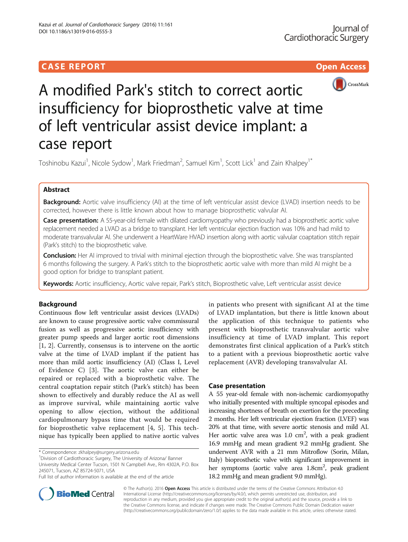# **CASE REPORT CASE REPORT CASE REPORT**



A modified Park's stitch to correct aortic insufficiency for bioprosthetic valve at time of left ventricular assist device implant: a case report

Toshinobu Kazui<sup>1</sup>, Nicole Sydow<sup>1</sup>, Mark Friedman<sup>2</sup>, Samuel Kim<sup>1</sup>, Scott Lick<sup>1</sup> and Zain Khalpey<sup>1\*</sup>

## Abstract

Background: Aortic valve insufficiency (AI) at the time of left ventricular assist device (LVAD) insertion needs to be corrected, however there is little known about how to manage bioprosthetic valvular AI.

Case presentation: A 55-year-old female with dilated cardiomyopathy who previously had a bioprosthetic aortic valve replacement needed a LVAD as a bridge to transplant. Her left ventricular ejection fraction was 10% and had mild to moderate transvalvular AI. She underwent a HeartWare HVAD insertion along with aortic valvular coaptation stitch repair (Park's stitch) to the bioprosthetic valve.

Conclusion: Her AI improved to trivial with minimal ejection through the bioprosthetic valve. She was transplanted 6 months following the surgery. A Park's stitch to the bioprosthetic aortic valve with more than mild AI might be a good option for bridge to transplant patient.

Keywords: Aortic insufficiency, Aortic valve repair, Park's stitch, Bioprosthetic valve, Left ventricular assist device

## Background

Continuous flow left ventricular assist devices (LVADs) are known to cause progressive aortic valve commissural fusion as well as progressive aortic insufficiency with greater pump speeds and larger aortic root dimensions [[1,](#page-2-0) [2](#page-3-0)]. Currently, consensus is to intervene on the aortic valve at the time of LVAD implant if the patient has more than mild aortic insufficiency (AI) (Class I, Level of Evidence C) [[3\]](#page-3-0). The aortic valve can either be repaired or replaced with a bioprosthetic valve. The central coaptation repair stitch (Park's stitch) has been shown to effectively and durably reduce the AI as well as improve survival, while maintaining aortic valve opening to allow ejection, without the additional cardiopulmonary bypass time that would be required for bioprosthetic valve replacement [[4, 5\]](#page-3-0). This technique has typically been applied to native aortic valves

<sup>1</sup> Division of Cardiothoracic Surgery, The University of Arizona/ Banner University Medical Center Tucson, 1501 N Campbell Ave., Rm 4302A, P.O. Box 245071, Tucson, AZ 85724-5071, USA

in patients who present with significant AI at the time of LVAD implantation, but there is little known about the application of this technique to patients who present with bioprosthetic transvalvular aortic valve insufficiency at time of LVAD implant. This report demonstrates first clinical application of a Park's stitch to a patient with a previous bioprosthetic aortic valve replacement (AVR) developing transvalvular AI.

## Case presentation

A 55 year-old female with non-ischemic cardiomyopathy who initially presented with multiple syncopal episodes and increasing shortness of breath on exertion for the preceding 2 months. Her left ventricular ejection fraction (LVEF) was 20% at that time, with severe aortic stenosis and mild AI. Her aortic valve area was  $1.0 \text{ cm}^2$ , with a peak gradient 16.9 mmHg and mean gradient 9.2 mmHg gradient. She underwent AVR with a 21 mm Mitroflow (Sorin, Milan, Italy) bioprosthetic valve with significant improvement in her symptoms (aortic valve area 1.8cm<sup>2</sup>, peak gradient 18.2 mmHg and mean gradient 9.0 mmHg).



© The Author(s). 2016 Open Access This article is distributed under the terms of the Creative Commons Attribution 4.0 International License [\(http://creativecommons.org/licenses/by/4.0/](http://creativecommons.org/licenses/by/4.0/)), which permits unrestricted use, distribution, and reproduction in any medium, provided you give appropriate credit to the original author(s) and the source, provide a link to the Creative Commons license, and indicate if changes were made. The Creative Commons Public Domain Dedication waiver [\(http://creativecommons.org/publicdomain/zero/1.0/](http://creativecommons.org/publicdomain/zero/1.0/)) applies to the data made available in this article, unless otherwise stated.

<sup>\*</sup> Correspondence: [zkhalpey@surgery.arizona.edu](mailto:zkhalpey@surgery.arizona.edu) <sup>1</sup>

Full list of author information is available at the end of the article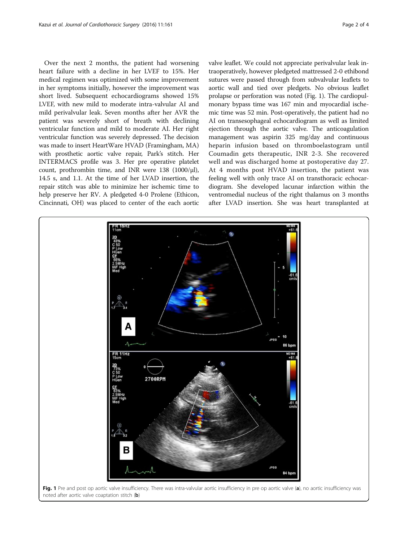Over the next 2 months, the patient had worsening heart failure with a decline in her LVEF to 15%. Her medical regimen was optimized with some improvement in her symptoms initially, however the improvement was short lived. Subsequent echocardiograms showed 15% LVEF, with new mild to moderate intra-valvular AI and mild perivalvular leak. Seven months after her AVR the patient was severely short of breath with declining ventricular function and mild to moderate AI. Her right ventricular function was severely depressed. The decision was made to insert HeartWare HVAD (Framingham, MA) with prosthetic aortic valve repair, Park's stitch. Her INTERMACS profile was 3. Her pre operative platelet count, prothrombin time, and INR were 138 (1000/μl), 14.5 s, and 1.1. At the time of her LVAD insertion, the repair stitch was able to minimize her ischemic time to help preserve her RV. A pledgeted 4-0 Prolene (Ethicon, Cincinnati, OH) was placed to center of the each aortic valve leaflet. We could not appreciate perivalvular leak intraoperatively, however pledgeted mattressed 2-0 ethibond sutures were passed through from subvalvular leaflets to aortic wall and tied over pledgets. No obvious leaflet prolapse or perforation was noted (Fig. 1). The cardiopulmonary bypass time was 167 min and myocardial ischemic time was 52 min. Post-operatively, the patient had no AI on transesophageal echocardiogram as well as limited ejection through the aortic valve. The anticoagulation management was aspirin 325 mg/day and continuous heparin infusion based on thromboelastogram until Coumadin gets therapeutic, INR 2-3. She recovered well and was discharged home at postoperative day 27. At 4 months post HVAD insertion, the patient was feeling well with only trace AI on transthoracic echocardiogram. She developed lacunar infarction within the ventromedial nucleus of the right thalamus on 3 months after LVAD insertion. She was heart transplanted at

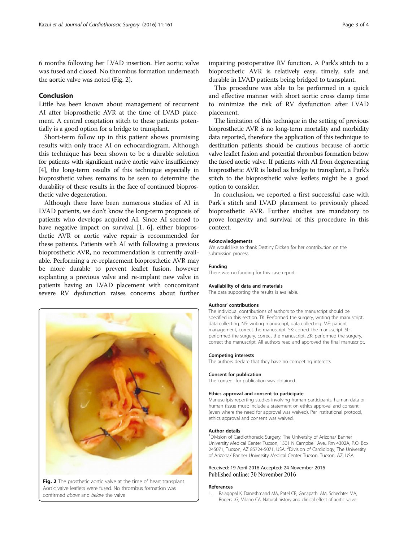<span id="page-2-0"></span>6 months following her LVAD insertion. Her aortic valve was fused and closed. No thrombus formation underneath the aortic valve was noted (Fig. 2).

## Conclusion

Little has been known about management of recurrent AI after bioprosthetic AVR at the time of LVAD placement. A central coaptation stitch to these patients potentially is a good option for a bridge to transplant.

Short-term follow up in this patient shows promising results with only trace AI on echocardiogram. Although this technique has been shown to be a durable solution for patients with significant native aortic valve insufficiency [[4](#page-3-0)], the long-term results of this technique especially in bioprosthetic valves remains to be seen to determine the durability of these results in the face of continued bioprosthetic valve degeneration.

Although there have been numerous studies of AI in LVAD patients, we don't know the long-term prognosis of patients who develops acquired AI. Since AI seemed to have negative impact on survival [1, [6](#page-3-0)], either bioprosthetic AVR or aortic valve repair is recommended for these patients. Patients with AI with following a previous bioprosthetic AVR, no recommendation is currently available. Performing a re-replacement bioprosthetic AVR may be more durable to prevent leaflet fusion, however explanting a previous valve and re-implant new valve in patients having an LVAD placement with concomitant severe RV dysfunction raises concerns about further



Fig. 2 The prosthetic aortic valve at the time of heart transplant. Aortic valve leaflets were fused. No thrombus formation was confirmed above and below the valve

impairing postoperative RV function. A Park's stitch to a bioprosthetic AVR is relatively easy, timely, safe and durable in LVAD patients being bridged to transplant.

This procedure was able to be performed in a quick and effective manner with short aortic cross clamp time to minimize the risk of RV dysfunction after LVAD placement.

The limitation of this technique in the setting of previous bioprosthetic AVR is no long-term mortality and morbidity data reported, therefore the application of this technique to destination patients should be cautious because of aortic valve leaflet fusion and potential thrombus formation below the fused aortic valve. If patients with AI from degenerating bioprosthetic AVR is listed as bridge to transplant, a Park's stitch to the bioprosthetic valve leaflets might be a good option to consider.

In conclusion, we reported a first successful case with Park's stitch and LVAD placement to previously placed bioprosthetic AVR. Further studies are mandatory to prove longevity and survival of this procedure in this context.

#### Acknowledgements

We would like to thank Destiny Dicken for her contribution on the submission process.

### Funding

There was no funding for this case report.

#### Availability of data and materials

The data supporting the results is available.

### Authors' contributions

The individual contributions of authors to the manuscript should be specified in this section. TK: Performed the surgery, writing the manuscript, data collecting. NS: writing manuscript, data collecting. MF: patient management, correct the manuscript. SK: correct the manuscript. SL: performed the surgery, correct the manuscript. ZK: performed the surgery, correct the manuscript. All authors read and approved the final manuscript.

### Competing interests

The authors declare that they have no competing interests.

### Consent for publication

The consent for publication was obtained.

#### Ethics approval and consent to participate

Manuscripts reporting studies involving human participants, human data or human tissue must: Include a statement on ethics approval and consent (even where the need for approval was waived). Per institutional protocol, ethics approval and consent was waived.

### Author details

<sup>1</sup> Division of Cardiothoracic Surgery, The University of Arizona/ Banner University Medical Center Tucson, 1501 N Campbell Ave., Rm 4302A, P.O. Box 245071, Tucson, AZ 85724-5071, USA. <sup>2</sup>Division of Cardiology, The University of Arizona/ Banner University Medical Center Tucson, Tucson, AZ, USA.

## Received: 19 April 2016 Accepted: 24 November 2016 Published online: 30 November 2016

#### References

1. Rajagopal K, Daneshmand MA, Patel CB, Ganapathi AM, Schechter MA, Rogers JG, Milano CA. Natural history and clinical effect of aortic valve